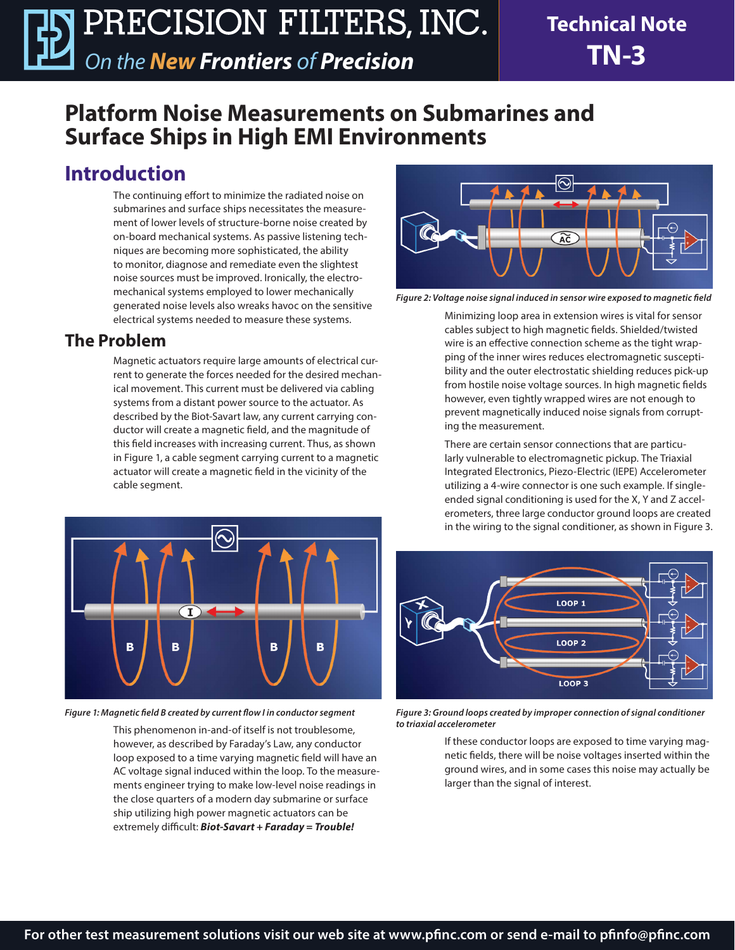## **Platform Noise Measurements on Submarines and Surface Ships in High EMI Environments**

## **Introduction**

The continuing effort to minimize the radiated noise on submarines and surface ships necessitates the measurement of lower levels of structure-borne noise created by on-board mechanical systems. As passive listening techniques are becoming more sophisticated, the ability to monitor, diagnose and remediate even the slightest noise sources must be improved. Ironically, the electromechanical systems employed to lower mechanically generated noise levels also wreaks havoc on the sensitive electrical systems needed to measure these systems.

### **The Problem**

Magnetic actuators require large amounts of electrical current to generate the forces needed for the desired mechanical movement. This current must be delivered via cabling systems from a distant power source to the actuator. As described by the Biot-Savart law, any current carrying conductor will create a magnetic field, and the magnitude of this field increases with increasing current. Thus, as shown in Figure 1, a cable segment carrying current to a magnetic actuator will create a magnetic field in the vicinity of the cable segment.



*Figure 1: Magnetic field B created by current flow I in conductor segment* 

This phenomenon in-and-of itself is not troublesome, however, as described by Faraday's Law, any conductor loop exposed to a time varying magnetic field will have an AC voltage signal induced within the loop. To the measurements engineer trying to make low-level noise readings in the close quarters of a modern day submarine or surface ship utilizing high power magnetic actuators can be extremely difficult: *Biot-Savart + Faraday = Trouble!*



*Figure 2: Voltage noise signal induced in sensor wire exposed to magnetic field*

Minimizing loop area in extension wires is vital for sensor cables subject to high magnetic fields. Shielded/twisted wire is an effective connection scheme as the tight wrapping of the inner wires reduces electromagnetic susceptibility and the outer electrostatic shielding reduces pick-up from hostile noise voltage sources. In high magnetic fields however, even tightly wrapped wires are not enough to prevent magnetically induced noise signals from corrupting the measurement.

There are certain sensor connections that are particularly vulnerable to electromagnetic pickup. The Triaxial Integrated Electronics, Piezo-Electric (IEPE) Accelerometer utilizing a 4-wire connector is one such example. If singleended signal conditioning is used for the X, Y and Z accelerometers, three large conductor ground loops are created in the wiring to the signal conditioner, as shown in Figure 3.



*Figure 3: Ground loops created by improper connection of signal conditioner to triaxial accelerometer*

If these conductor loops are exposed to time varying magnetic fields, there will be noise voltages inserted within the ground wires, and in some cases this noise may actually be larger than the signal of interest.